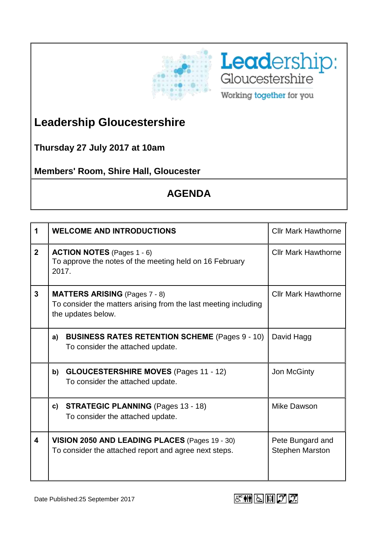



**Leadership Gloucestershire**

**Thursday 27 July 2017 at 10am**

**Members' Room, Shire Hall, Gloucester**

## **AGENDA**

| 1                       | <b>WELCOME AND INTRODUCTIONS</b>                                                                                              | <b>Cllr Mark Hawthorne</b>                 |
|-------------------------|-------------------------------------------------------------------------------------------------------------------------------|--------------------------------------------|
| $\overline{2}$          | <b>ACTION NOTES</b> (Pages 1 - 6)<br>To approve the notes of the meeting held on 16 February<br>2017.                         | <b>Cllr Mark Hawthorne</b>                 |
| $\mathbf{3}$            | <b>MATTERS ARISING</b> (Pages 7 - 8)<br>To consider the matters arising from the last meeting including<br>the updates below. | <b>Cllr Mark Hawthorne</b>                 |
|                         | <b>BUSINESS RATES RETENTION SCHEME (Pages 9 - 10)</b><br>a)<br>To consider the attached update.                               | David Hagg                                 |
|                         | <b>GLOUCESTERSHIRE MOVES (Pages 11 - 12)</b><br>b)<br>To consider the attached update.                                        | Jon McGinty                                |
|                         | <b>STRATEGIC PLANNING (Pages 13 - 18)</b><br>C)<br>To consider the attached update.                                           | Mike Dawson                                |
| $\overline{\mathbf{4}}$ | VISION 2050 AND LEADING PLACES (Pages 19 - 30)<br>To consider the attached report and agree next steps.                       | Pete Bungard and<br><b>Stephen Marston</b> |